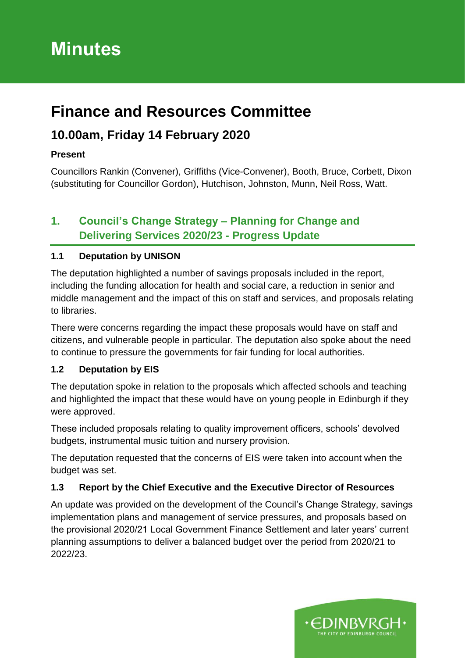# **Minutes**

## **Finance and Resources Committee**

## **10.00am, Friday 14 February 2020**

## **Present**

Councillors Rankin (Convener), Griffiths (Vice-Convener), Booth, Bruce, Corbett, Dixon (substituting for Councillor Gordon), Hutchison, Johnston, Munn, Neil Ross, Watt.

## **1. Council's Change Strategy – Planning for Change and Delivering Services 2020/23 - Progress Update**

## **1.1 Deputation by UNISON**

The deputation highlighted a number of savings proposals included in the report, including the funding allocation for health and social care, a reduction in senior and middle management and the impact of this on staff and services, and proposals relating to libraries.

There were concerns regarding the impact these proposals would have on staff and citizens, and vulnerable people in particular. The deputation also spoke about the need to continue to pressure the governments for fair funding for local authorities.

### **1.2 Deputation by EIS**

The deputation spoke in relation to the proposals which affected schools and teaching and highlighted the impact that these would have on young people in Edinburgh if they were approved.

These included proposals relating to quality improvement officers, schools' devolved budgets, instrumental music tuition and nursery provision.

The deputation requested that the concerns of EIS were taken into account when the budget was set.

### **1.3 Report by the Chief Executive and the Executive Director of Resources**

An update was provided on the development of the Council's Change Strategy, savings implementation plans and management of service pressures, and proposals based on the provisional 2020/21 Local Government Finance Settlement and later years' current planning assumptions to deliver a balanced budget over the period from 2020/21 to 2022/23.

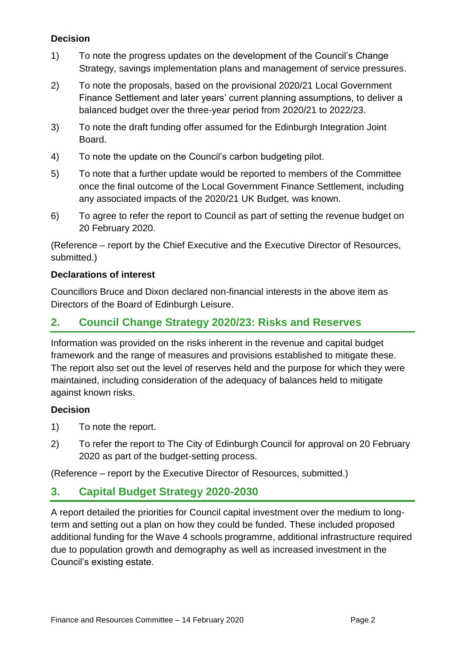## **Decision**

- 1) To note the progress updates on the development of the Council's Change Strategy, savings implementation plans and management of service pressures.
- 2) To note the proposals, based on the provisional 2020/21 Local Government Finance Settlement and later years' current planning assumptions, to deliver a balanced budget over the three-year period from 2020/21 to 2022/23.
- 3) To note the draft funding offer assumed for the Edinburgh Integration Joint Board.
- 4) To note the update on the Council's carbon budgeting pilot.
- 5) To note that a further update would be reported to members of the Committee once the final outcome of the Local Government Finance Settlement, including any associated impacts of the 2020/21 UK Budget, was known.
- 6) To agree to refer the report to Council as part of setting the revenue budget on 20 February 2020.

(Reference – report by the Chief Executive and the Executive Director of Resources, submitted.)

#### **Declarations of interest**

Councillors Bruce and Dixon declared non-financial interests in the above item as Directors of the Board of Edinburgh Leisure.

## **2. Council Change Strategy 2020/23: Risks and Reserves**

Information was provided on the risks inherent in the revenue and capital budget framework and the range of measures and provisions established to mitigate these. The report also set out the level of reserves held and the purpose for which they were maintained, including consideration of the adequacy of balances held to mitigate against known risks.

#### **Decision**

- 1) To note the report.
- 2) To refer the report to The City of Edinburgh Council for approval on 20 February 2020 as part of the budget-setting process.

(Reference – report by the Executive Director of Resources, submitted.)

## **3. Capital Budget Strategy 2020-2030**

A report detailed the priorities for Council capital investment over the medium to longterm and setting out a plan on how they could be funded. These included proposed additional funding for the Wave 4 schools programme, additional infrastructure required due to population growth and demography as well as increased investment in the Council's existing estate.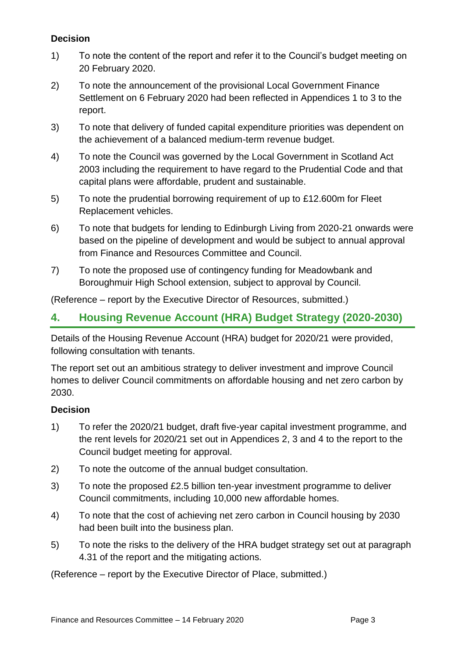## **Decision**

- 1) To note the content of the report and refer it to the Council's budget meeting on 20 February 2020.
- 2) To note the announcement of the provisional Local Government Finance Settlement on 6 February 2020 had been reflected in Appendices 1 to 3 to the report.
- 3) To note that delivery of funded capital expenditure priorities was dependent on the achievement of a balanced medium-term revenue budget.
- 4) To note the Council was governed by the Local Government in Scotland Act 2003 including the requirement to have regard to the Prudential Code and that capital plans were affordable, prudent and sustainable.
- 5) To note the prudential borrowing requirement of up to £12.600m for Fleet Replacement vehicles.
- 6) To note that budgets for lending to Edinburgh Living from 2020-21 onwards were based on the pipeline of development and would be subject to annual approval from Finance and Resources Committee and Council.
- 7) To note the proposed use of contingency funding for Meadowbank and Boroughmuir High School extension, subject to approval by Council.

(Reference – report by the Executive Director of Resources, submitted.)

## **4. Housing Revenue Account (HRA) Budget Strategy (2020-2030)**

Details of the Housing Revenue Account (HRA) budget for 2020/21 were provided, following consultation with tenants.

The report set out an ambitious strategy to deliver investment and improve Council homes to deliver Council commitments on affordable housing and net zero carbon by 2030.

### **Decision**

- 1) To refer the 2020/21 budget, draft five-year capital investment programme, and the rent levels for 2020/21 set out in Appendices 2, 3 and 4 to the report to the Council budget meeting for approval.
- 2) To note the outcome of the annual budget consultation.
- 3) To note the proposed £2.5 billion ten-year investment programme to deliver Council commitments, including 10,000 new affordable homes.
- 4) To note that the cost of achieving net zero carbon in Council housing by 2030 had been built into the business plan.
- 5) To note the risks to the delivery of the HRA budget strategy set out at paragraph 4.31 of the report and the mitigating actions.

(Reference – report by the Executive Director of Place, submitted.)